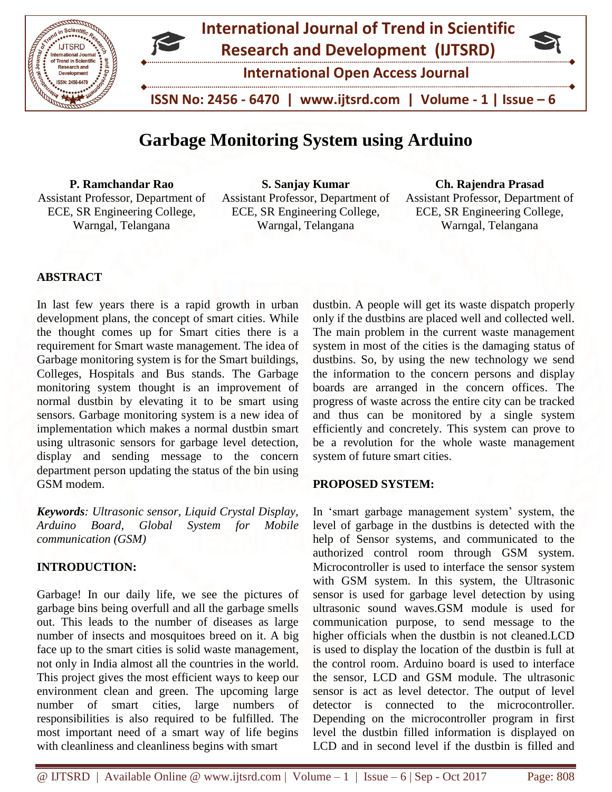

# **Garbage Monitoring System using Arduino**

**P. Ramchandar Rao** Assistant Professor, Department of ECE, SR Engineering College, Warngal, Telangana

**S. Sanjay Kumar** Assistant Professor, Department of ECE, SR Engineering College, Warngal, Telangana

**Ch. Rajendra Prasad** Assistant Professor, Department of

ECE, SR Engineering College, Warngal, Telangana

# **ABSTRACT**

In last few years there is a rapid growth in urban development plans, the concept of smart cities. While the thought comes up for Smart cities there is a requirement for Smart waste management. The idea of Garbage monitoring system is for the Smart buildings, Colleges, Hospitals and Bus stands. The Garbage monitoring system thought is an improvement of normal dustbin by elevating it to be smart using sensors. Garbage monitoring system is a new idea of implementation which makes a normal dustbin smart using ultrasonic sensors for garbage level detection, display and sending message to the concern department person updating the status of the bin using GSM modem.

*Keywords: Ultrasonic sensor, Liquid Crystal Display, Arduino Board, Global System for Mobile communication (GSM)*

## **INTRODUCTION:**

Garbage! In our daily life, we see the pictures of garbage bins being overfull and all the garbage smells out. This leads to the number of diseases as large number of insects and mosquitoes breed on it. A big face up to the smart cities is solid waste management, not only in India almost all the countries in the world. This project gives the most efficient ways to keep our environment clean and green. The upcoming large number of smart cities, large numbers of responsibilities is also required to be fulfilled. The most important need of a smart way of life begins with cleanliness and cleanliness begins with smart

dustbin. A people will get its waste dispatch properly only if the dustbins are placed well and collected well. The main problem in the current waste management system in most of the cities is the damaging status of dustbins. So, by using the new technology we send the information to the concern persons and display boards are arranged in the concern offices. The progress of waste across the entire city can be tracked and thus can be monitored by a single system efficiently and concretely. This system can prove to be a revolution for the whole waste management system of future smart cities.

## **PROPOSED SYSTEM:**

In 'smart garbage management system' system, the level of garbage in the dustbins is detected with the help of Sensor systems, and communicated to the authorized control room through GSM system. Microcontroller is used to interface the sensor system with GSM system. In this system, the Ultrasonic sensor is used for garbage level detection by using ultrasonic sound waves.GSM module is used for communication purpose, to send message to the higher officials when the dustbin is not cleaned.LCD is used to display the location of the dustbin is full at the control room. Arduino board is used to interface the sensor, LCD and GSM module. The ultrasonic sensor is act as level detector. The output of level detector is connected to the microcontroller. Depending on the microcontroller program in first level the dustbin filled information is displayed on LCD and in second level if the dustbin is filled and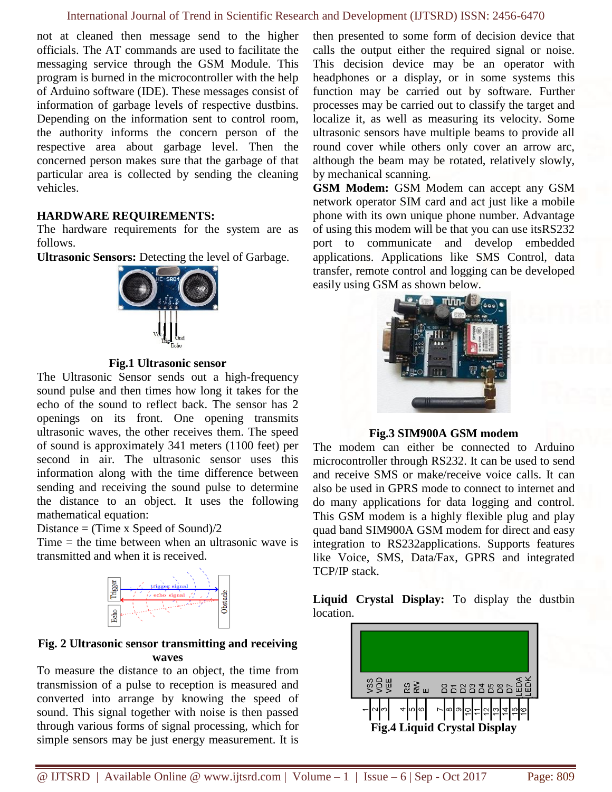## International Journal of Trend in Scientific Research and Development (IJTSRD) ISSN: 2456-6470

not at cleaned then message send to the higher officials. The AT commands are used to facilitate the messaging service through the GSM Module. This program is burned in the microcontroller with the help of Arduino software (IDE). These messages consist of information of garbage levels of respective dustbins. Depending on the information sent to control room, the authority informs the concern person of the respective area about garbage level. Then the concerned person makes sure that the garbage of that particular area is collected by sending the cleaning vehicles.

#### **HARDWARE REQUIREMENTS:**

The hardware requirements for the system are as follows.

**Ultrasonic Sensors:** Detecting the level of Garbage.



**Fig.1 Ultrasonic sensor**

The Ultrasonic Sensor sends out a high-frequency sound pulse and then times how long it takes for the echo of the sound to reflect back. The sensor has 2 openings on its front. One opening transmits ultrasonic waves, the other receives them. The speed of sound is approximately 341 meters (1100 feet) per second in air. The ultrasonic sensor uses this information along with the time difference between sending and receiving the sound pulse to determine the distance to an object. It uses the following mathematical equation:

Distance  $=$  (Time x Speed of Sound)/2

Time  $=$  the time between when an ultrasonic wave is transmitted and when it is received.



#### **Fig. 2 Ultrasonic sensor transmitting and receiving waves**

To measure the distance to an object, the time from transmission of a pulse to reception is measured and converted into arrange by knowing the speed of sound. This signal together with noise is then passed through various forms of signal processing, which for simple sensors may be just energy measurement. It is then presented to some form of decision device that calls the output either the required signal or noise. This decision device may be an operator with headphones or a display, or in some systems this function may be carried out by software. Further processes may be carried out to classify the target and localize it, as well as measuring its velocity. Some ultrasonic sensors have multiple beams to provide all round cover while others only cover an arrow arc, although the beam may be rotated, relatively slowly, by mechanical scanning.

**GSM Modem:** GSM Modem can accept any GSM network operator SIM card and act just like a mobile phone with its own unique phone number. Advantage of using this modem will be that you can use itsRS232 port to communicate and develop embedded applications. Applications like SMS Control, data transfer, remote control and logging can be developed easily using GSM as shown below.



**Fig.3 SIM900A GSM modem**

The modem can either be connected to Arduino microcontroller through RS232. It can be used to send and receive SMS or make/receive voice calls. It can also be used in GPRS mode to connect to internet and do many applications for data logging and control. This GSM modem is a highly flexible plug and play quad band SIM900A GSM modem for direct and easy integration to RS232applications. Supports features like Voice, SMS, Data/Fax, GPRS and integrated TCP/IP stack.

**Liquid Crystal Display:** To display the dustbin location.

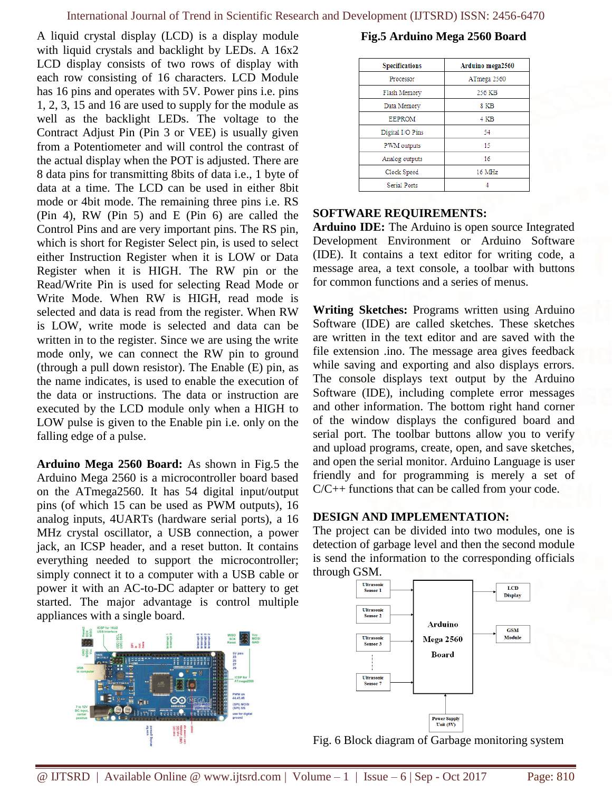A liquid crystal display (LCD) is a display module with liquid crystals and backlight by LEDs. A 16x2 LCD display consists of two rows of display with each row consisting of 16 characters. LCD Module has 16 pins and operates with 5V. Power pins i.e. pins 1, 2, 3, 15 and 16 are used to supply for the module as well as the backlight LEDs. The voltage to the Contract Adjust Pin (Pin 3 or VEE) is usually given from a Potentiometer and will control the contrast of the actual display when the POT is adjusted. There are 8 data pins for transmitting 8bits of data i.e., 1 byte of data at a time. The LCD can be used in either 8bit mode or 4bit mode. The remaining three pins i.e. RS (Pin 4), RW (Pin 5) and E (Pin 6) are called the Control Pins and are very important pins. The RS pin, which is short for Register Select pin, is used to select either Instruction Register when it is LOW or Data Register when it is HIGH. The RW pin or the Read/Write Pin is used for selecting Read Mode or Write Mode. When RW is HIGH, read mode is selected and data is read from the register. When RW is LOW, write mode is selected and data can be written in to the register. Since we are using the write mode only, we can connect the RW pin to ground (through a pull down resistor). The Enable (E) pin, as the name indicates, is used to enable the execution of the data or instructions. The data or instruction are executed by the LCD module only when a HIGH to LOW pulse is given to the Enable pin i.e. only on the falling edge of a pulse.

**Arduino Mega 2560 Board:** As shown in Fig.5 the Arduino Mega 2560 is a microcontroller board based on the ATmega2560. It has 54 digital input/output pins (of which 15 can be used as PWM outputs), 16 analog inputs, 4UARTs (hardware serial ports), a 16 MHz crystal oscillator, a USB connection, a power jack, an ICSP header, and a reset button. It contains everything needed to support the microcontroller; simply connect it to a computer with a USB cable or power it with an AC-to-DC adapter or battery to get started. The major advantage is control multiple appliances with a single board.



## **Fig.5 Arduino Mega 2560 Board**

| <b>Specifications</b> | Arduino mega2560 |
|-----------------------|------------------|
| Processor             | ATmega 2560      |
| Flash Memory          | 256 KB           |
| Data Memory           | 8 KB             |
| <b>EEPROM</b>         | 4 KB             |
| Digital I/O Pins      | 54               |
| PWM outputs           | 15               |
| Analog outputs        | 16               |
| Clock Speed           | 16 MHz           |
| <b>Serial Ports</b>   |                  |

#### **SOFTWARE REQUIREMENTS:**

**Arduino IDE:** The Arduino is open source Integrated Development Environment or Arduino Software (IDE). It contains a text editor for writing code, a message area, a text console, a toolbar with buttons for common functions and a series of menus.

**Writing Sketches:** Programs written using Arduino Software (IDE) are called sketches. These sketches are written in the text editor and are saved with the file extension .ino. The message area gives feedback while saving and exporting and also displays errors. The console displays text output by the Arduino Software (IDE), including complete error messages and other information. The bottom right hand corner of the window displays the configured board and serial port. The toolbar buttons allow you to verify and upload programs, create, open, and save sketches, and open the serial monitor. Arduino Language is user friendly and for programming is merely a set of C/C++ functions that can be called from your code.

## **DESIGN AND IMPLEMENTATION:**

The project can be divided into two modules, one is detection of garbage level and then the second module is send the information to the corresponding officials through GSM.



Fig. 6 Block diagram of Garbage monitoring system